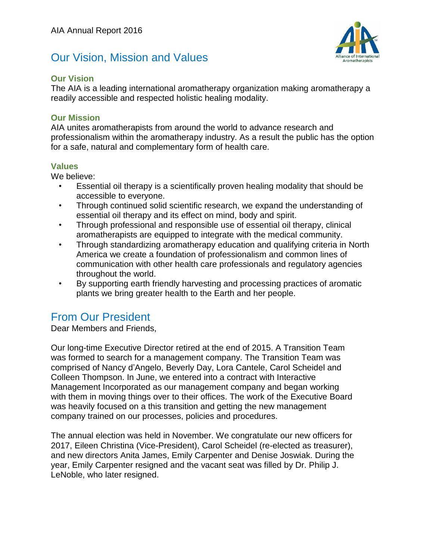### Our Vision, Mission and Values



#### **Our Vision**

The AIA is a leading international aromatherapy organization making aromatherapy a readily accessible and respected holistic healing modality.

#### **Our Mission**

AIA unites aromatherapists from around the world to advance research and professionalism within the aromatherapy industry. As a result the public has the option for a safe, natural and complementary form of health care.

#### **Values**

We believe:

- Essential oil therapy is a scientifically proven healing modality that should be accessible to everyone.
- Through continued solid scientific research, we expand the understanding of essential oil therapy and its effect on mind, body and spirit.
- Through professional and responsible use of essential oil therapy, clinical aromatherapists are equipped to integrate with the medical community.
- Through standardizing aromatherapy education and qualifying criteria in North America we create a foundation of professionalism and common lines of communication with other health care professionals and regulatory agencies throughout the world.
- By supporting earth friendly harvesting and processing practices of aromatic plants we bring greater health to the Earth and her people.

#### From Our President

Dear Members and Friends,

Our long-time Executive Director retired at the end of 2015. A Transition Team was formed to search for a management company. The Transition Team was comprised of Nancy d'Angelo, Beverly Day, Lora Cantele, Carol Scheidel and Colleen Thompson. In June, we entered into a contract with Interactive Management Incorporated as our management company and began working with them in moving things over to their offices. The work of the Executive Board was heavily focused on a this transition and getting the new management company trained on our processes, policies and procedures.

The annual election was held in November. We congratulate our new officers for 2017, Eileen Christina (Vice-President), Carol Scheidel (re-elected as treasurer), and new directors Anita James, Emily Carpenter and Denise Joswiak. During the year, Emily Carpenter resigned and the vacant seat was filled by Dr. Philip J. LeNoble, who later resigned.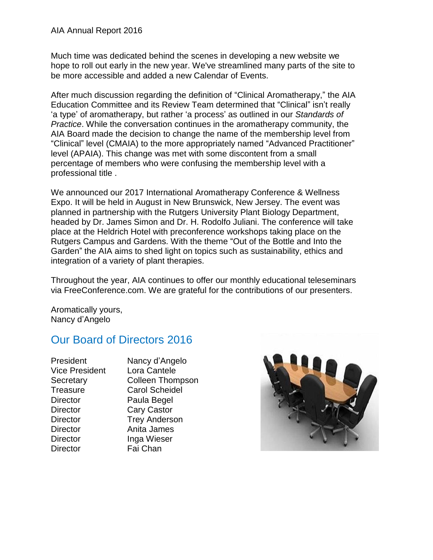Much time was dedicated behind the scenes in developing a new website we hope to roll out early in the new year. We've streamlined many parts of the site to be more accessible and added a new Calendar of Events.

After much discussion regarding the definition of "Clinical Aromatherapy," the AIA Education Committee and its Review Team determined that "Clinical" isn't really 'a type' of aromatherapy, but rather 'a process' as outlined in our *Standards of Practice*. While the conversation continues in the aromatherapy community, the AIA Board made the decision to change the name of the membership level from "Clinical" level (CMAIA) to the more appropriately named "Advanced Practitioner" level (APAIA). This change was met with some discontent from a small percentage of members who were confusing the membership level with a professional title .

We announced our 2017 International Aromatherapy Conference & Wellness Expo. It will be held in August in New Brunswick, New Jersey. The event was planned in partnership with the Rutgers University Plant Biology Department, headed by Dr. James Simon and Dr. H. Rodolfo Juliani. The conference will take place at the Heldrich Hotel with preconference workshops taking place on the Rutgers Campus and Gardens. With the theme "Out of the Bottle and Into the Garden" the AIA aims to shed light on topics such as sustainability, ethics and integration of a variety of plant therapies.

Throughout the year, AIA continues to offer our monthly educational teleseminars via FreeConference.com. We are grateful for the contributions of our presenters.

Aromatically yours, Nancy d'Angelo

## Our Board of Directors 2016

| President             | Nancy d'Angelo          |
|-----------------------|-------------------------|
| <b>Vice President</b> | Lora Cantele            |
| Secretary             | <b>Colleen Thompson</b> |
| <b>Treasure</b>       | <b>Carol Scheidel</b>   |
| <b>Director</b>       | Paula Begel             |
| <b>Director</b>       | <b>Cary Castor</b>      |
| <b>Director</b>       | <b>Trey Anderson</b>    |
| <b>Director</b>       | Anita James             |
| <b>Director</b>       | Inga Wieser             |
| <b>Director</b>       | Fai Chan                |
|                       |                         |

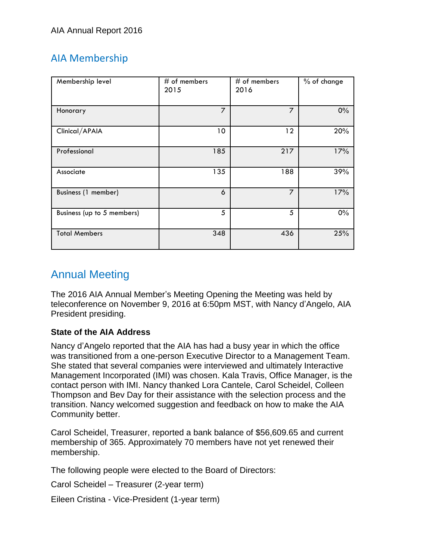### AIA Membership

| Membership level           | $#$ of members<br>2015 | $#$ of members<br>2016 | % of change |
|----------------------------|------------------------|------------------------|-------------|
| Honorary                   | 7                      | 7                      | $0\%$       |
| Clinical/APAIA             | 10                     | 12                     | 20%         |
| Professional               | 185                    | 217                    | 17%         |
| Associate                  | 135                    | 188                    | 39%         |
| Business (1 member)        | 6                      | $\overline{7}$         | 17%         |
| Business (up to 5 members) | 5                      | 5                      | $0\%$       |
| <b>Total Members</b>       | 348                    | 436                    | 25%         |

# Annual Meeting

The 2016 AIA Annual Member's Meeting Opening the Meeting was held by teleconference on November 9, 2016 at 6:50pm MST, with Nancy d'Angelo, AIA President presiding.

#### **State of the AIA Address**

Nancy d'Angelo reported that the AIA has had a busy year in which the office was transitioned from a one-person Executive Director to a Management Team. She stated that several companies were interviewed and ultimately Interactive Management Incorporated (IMI) was chosen. Kala Travis, Office Manager, is the contact person with IMI. Nancy thanked Lora Cantele, Carol Scheidel, Colleen Thompson and Bev Day for their assistance with the selection process and the transition. Nancy welcomed suggestion and feedback on how to make the AIA Community better.

Carol Scheidel, Treasurer, reported a bank balance of \$56,609.65 and current membership of 365. Approximately 70 members have not yet renewed their membership.

The following people were elected to the Board of Directors:

Carol Scheidel – Treasurer (2-year term)

Eileen Cristina - Vice-President (1-year term)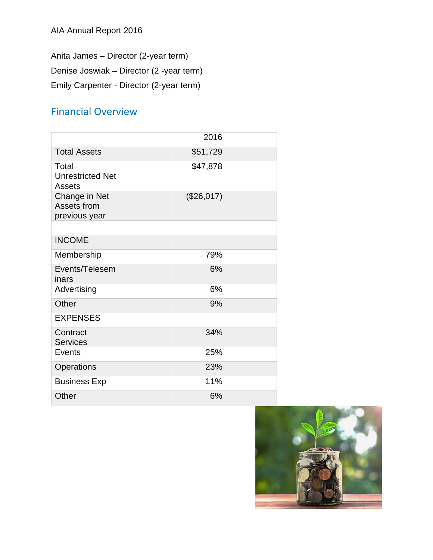Anita James – Director (2-year term)

Denise Joswiak – Director (2 -year term)

Emily Carpenter - Director (2-year term)

### Financial Overview

|                                                   | 2016         |  |
|---------------------------------------------------|--------------|--|
| <b>Total Assets</b>                               | \$51,729     |  |
| Total<br><b>Unrestricted Net</b><br><b>Assets</b> | \$47,878     |  |
| Change in Net<br>Assets from<br>previous year     | $(\$26,017)$ |  |
|                                                   |              |  |
| <b>INCOME</b>                                     |              |  |
| Membership                                        | 79%          |  |
| Events/Telesem<br>inars                           | 6%           |  |
| Advertising                                       | 6%           |  |
| Other                                             | 9%           |  |
| <b>EXPENSES</b>                                   |              |  |
| Contract<br><b>Services</b>                       | 34%          |  |
| Events                                            | 25%          |  |
| Operations                                        | 23%          |  |
| <b>Business Exp</b>                               | 11%          |  |
| Other                                             | 6%           |  |